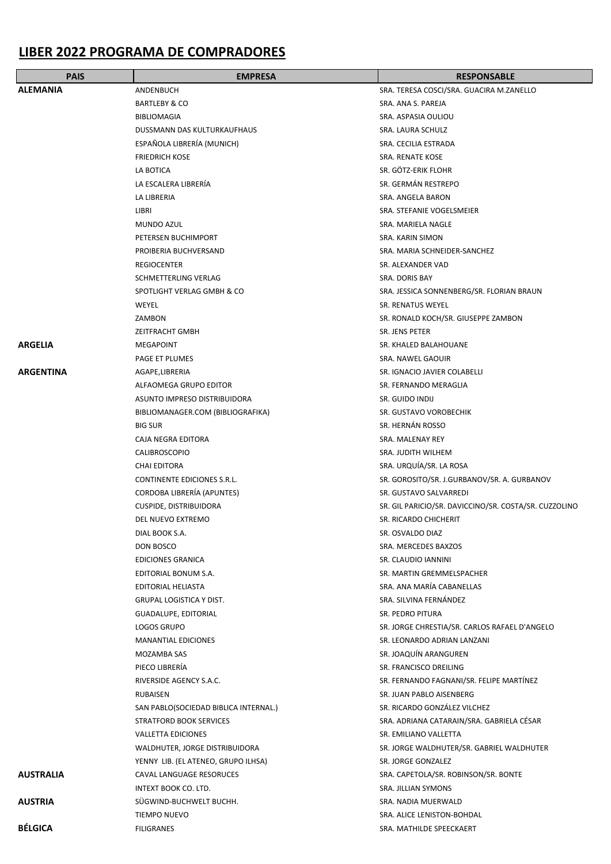## **LIBER 2022 PROGRAMA DE COMPRADORES**

| <b>PAIS</b>      | <b>EMPRESA</b>                        | <b>RESPONSABLE</b>                                    |
|------------------|---------------------------------------|-------------------------------------------------------|
| <b>ALEMANIA</b>  | ANDENBUCH                             | SRA. TERESA COSCI/SRA. GUACIRA M.ZANELLO              |
|                  | <b>BARTLEBY &amp; CO</b>              | SRA. ANA S. PAREJA                                    |
|                  | <b>BIBLIOMAGIA</b>                    | SRA. ASPASIA OULIOU                                   |
|                  | DUSSMANN DAS KULTURKAUFHAUS           | SRA. LAURA SCHULZ                                     |
|                  | ESPAÑOLA LIBRERÍA (MUNICH)            | SRA. CECILIA ESTRADA                                  |
|                  | <b>FRIEDRICH KOSE</b>                 | SRA. RENATE KOSE                                      |
|                  | LA BOTICA                             | SR. GÖTZ-ERIK FLOHR                                   |
|                  | LA ESCALERA LIBRERÍA                  | SR. GERMÁN RESTREPO                                   |
|                  | LA LIBRERIA                           | SRA. ANGELA BARON                                     |
|                  |                                       |                                                       |
|                  | LIBRI                                 | SRA. STEFANIE VOGELSMEIER                             |
|                  | MUNDO AZUL                            | SRA. MARIELA NAGLE                                    |
|                  | PETERSEN BUCHIMPORT                   | SRA. KARIN SIMON                                      |
|                  | PROIBERIA BUCHVERSAND                 | SRA. MARIA SCHNEIDER-SANCHEZ                          |
|                  | <b>REGIOCENTER</b>                    | SR. ALEXANDER VAD                                     |
|                  | SCHMETTERLING VERLAG                  | SRA. DORIS BAY                                        |
|                  | SPOTLIGHT VERLAG GMBH & CO            | SRA. JESSICA SONNENBERG/SR. FLORIAN BRAUN             |
|                  | WEYEL                                 | SR. RENATUS WEYEL                                     |
|                  | ZAMBON                                | SR. RONALD KOCH/SR. GIUSEPPE ZAMBON                   |
|                  | <b>ZEITFRACHT GMBH</b>                | SR. JENS PETER                                        |
| <b>ARGELIA</b>   | MEGAPOINT                             | SR. KHALED BALAHOUANE                                 |
|                  | PAGE ET PLUMES                        | SRA. NAWEL GAOUIR                                     |
| <b>ARGENTINA</b> | AGAPE,LIBRERIA                        | SR. IGNACIO JAVIER COLABELLI                          |
|                  | ALFAOMEGA GRUPO EDITOR                | SR. FERNANDO MERAGLIA                                 |
|                  | ASUNTO IMPRESO DISTRIBUIDORA          | SR. GUIDO INDIJ                                       |
|                  | BIBLIOMANAGER.COM (BIBLIOGRAFIKA)     | SR. GUSTAVO VOROBECHIK                                |
|                  | <b>BIG SUR</b>                        | SR. HERNÁN ROSSO                                      |
|                  | <b>CAJA NEGRA EDITORA</b>             | SRA. MALENAY REY                                      |
|                  | <b>CALIBROSCOPIO</b>                  | SRA. JUDITH WILHEM                                    |
|                  | <b>CHAI EDITORA</b>                   | SRA. URQUIA/SR. LA ROSA                               |
|                  | CONTINENTE EDICIONES S.R.L.           | SR. GOROSITO/SR. J.GURBANOV/SR. A. GURBANOV           |
|                  | CORDOBA LIBRERÍA (APUNTES)            | SR. GUSTAVO SALVARREDI                                |
|                  | <b>CUSPIDE, DISTRIBUIDORA</b>         | SR. GIL PARICIO/SR. DAVICCINO/SR. COSTA/SR. CUZZOLINO |
|                  | DEL NUEVO EXTREMO                     | SR. RICARDO CHICHERIT                                 |
|                  | DIAL BOOK S.A.                        | SR. OSVALDO DIAZ                                      |
|                  | DON BOSCO                             | SRA. MERCEDES BAXZOS                                  |
|                  | EDICIONES GRANICA                     | SR. CLAUDIO IANNINI                                   |
|                  | EDITORIAL BONUM S.A.                  | SR. MARTIN GREMMELSPACHER                             |
|                  | <b>EDITORIAL HELIASTA</b>             | SRA. ANA MARÍA CABANELLAS                             |
|                  | <b>GRUPAL LOGISTICA Y DIST.</b>       | SRA. SILVINA FERNÁNDEZ                                |
|                  | GUADALUPE, EDITORIAL                  | SR. PEDRO PITURA                                      |
|                  | LOGOS GRUPO                           | SR. JORGE CHRESTIA/SR. CARLOS RAFAEL D'ANGELO         |
|                  | <b>MANANTIAL EDICIONES</b>            | SR. LEONARDO ADRIAN LANZANI                           |
|                  | MOZAMBA SAS                           | SR. JOAQUÍN ARANGUREN                                 |
|                  | PIECO LIBRERÍA                        | SR. FRANCISCO DREILING                                |
|                  | RIVERSIDE AGENCY S.A.C.               | SR. FERNANDO FAGNANI/SR. FELIPE MARTÍNEZ              |
|                  | RUBAISEN                              | SR. JUAN PABLO AISENBERG                              |
|                  | SAN PABLO(SOCIEDAD BIBLICA INTERNAL.) | SR. RICARDO GONZÁLEZ VILCHEZ                          |
|                  | STRATFORD BOOK SERVICES               | SRA. ADRIANA CATARAIN/SRA. GABRIELA CÉSAR             |
|                  | <b>VALLETTA EDICIONES</b>             | SR. EMILIANO VALLETTA                                 |
|                  | WALDHUTER, JORGE DISTRIBUIDORA        | SR. JORGE WALDHUTER/SR. GABRIEL WALDHUTER             |
|                  | YENNY LIB. (EL ATENEO, GRUPO ILHSA)   | SR. JORGE GONZALEZ                                    |
| <b>AUSTRALIA</b> | CAVAL LANGUAGE RESORUCES              | SRA. CAPETOLA/SR. ROBINSON/SR. BONTE                  |
|                  | INTEXT BOOK CO. LTD.                  | SRA. JILLIAN SYMONS                                   |
| <b>AUSTRIA</b>   | SÜGWIND-BUCHWELT BUCHH.               | SRA. NADIA MUERWALD                                   |
|                  | <b>TIEMPO NUEVO</b>                   | SRA. ALICE LENISTON-BOHDAL                            |
| <b>BÉLGICA</b>   | <b>FILIGRANES</b>                     | SRA. MATHILDE SPEECKAERT                              |
|                  |                                       |                                                       |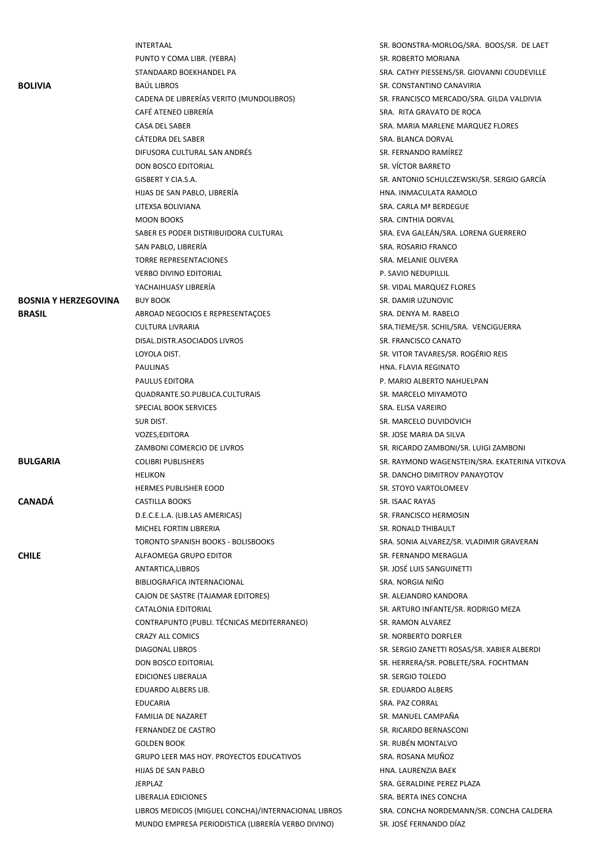|                             | <b>INTERTAAL</b>                                    | SR. BOONSTRA-MORLOG/SRA. BOOS/SR. DE LAET     |
|-----------------------------|-----------------------------------------------------|-----------------------------------------------|
|                             | PUNTO Y COMA LIBR. (YEBRA)                          | SR. ROBERTO MORIANA                           |
|                             | STANDAARD BOEKHANDEL PA                             | SRA. CATHY PIESSENS/SR. GIOVANNI COUDEVILLE   |
| <b>BOLIVIA</b>              | <b>BAÚL LIBROS</b>                                  | SR. CONSTANTINO CANAVIRIA                     |
|                             | CADENA DE LIBRERÍAS VERITO (MUNDOLIBROS)            | SR. FRANCISCO MERCADO/SRA. GILDA VALDIVIA     |
|                             | CAFÉ ATENEO LIBRERÍA                                | SRA. RITA GRAVATO DE ROCA                     |
|                             | CASA DEL SABER                                      | SRA. MARIA MARLENE MARQUEZ FLORES             |
|                             | CÁTEDRA DEL SABER                                   | SRA. BLANCA DORVAL                            |
|                             | DIFUSORA CULTURAL SAN ANDRÉS                        | SR. FERNANDO RAMÍREZ                          |
|                             | DON BOSCO EDITORIAL                                 | SR. VÍCTOR BARRETO                            |
|                             | GISBERT Y CIA.S.A.                                  | SR. ANTONIO SCHULCZEWSKI/SR. SERGIO GARCÍA    |
|                             | HIJAS DE SAN PABLO, LIBRERÍA                        | HNA. INMACULATA RAMOLO                        |
|                             | LITEXSA BOLIVIANA                                   | SRA. CARLA Mª BERDEGUE                        |
|                             | <b>MOON BOOKS</b>                                   | SRA. CINTHIA DORVAL                           |
|                             | SABER ES PODER DISTRIBUIDORA CULTURAL               | SRA. EVA GALEÁN/SRA. LORENA GUERRERO          |
|                             | SAN PABLO, LIBRERÍA                                 | SRA. ROSARIO FRANCO                           |
|                             | <b>TORRE REPRESENTACIONES</b>                       | SRA. MELANIE OLIVERA                          |
|                             | <b>VERBO DIVINO EDITORIAL</b>                       | P. SAVIO NEDUPILLIL                           |
|                             | YACHAIHUASY LIBRERÍA                                | SR. VIDAL MARQUEZ FLORES                      |
| <b>BOSNIA Y HERZEGOVINA</b> | <b>BUY BOOK</b>                                     | SR. DAMIR UZUNOVIC                            |
| <b>BRASIL</b>               | ABROAD NEGOCIOS E REPRESENTAÇÕES                    | SRA. DENYA M. RABELO                          |
|                             | <b>CULTURA LIVRARIA</b>                             | SRA.TIEME/SR. SCHIL/SRA. VENCIGUERRA          |
|                             | DISAL.DISTR.ASOCIADOS LIVROS                        | SR. FRANCISCO CANATO                          |
|                             | LOYOLA DIST.                                        | SR. VITOR TAVARES/SR. ROGÉRIO REIS            |
|                             | <b>PAULINAS</b>                                     | HNA. FLAVIA REGINATO                          |
|                             | PAULUS EDITORA                                      | P. MARIO ALBERTO NAHUELPAN                    |
|                             | QUADRANTE.SO.PUBLICA.CULTURAIS                      | SR. MARCELO MIYAMOTO                          |
|                             | SPECIAL BOOK SERVICES                               | SRA. ELISA VAREIRO                            |
|                             | SUR DIST.                                           | SR. MARCELO DUVIDOVICH                        |
|                             | VOZES, EDITORA                                      | SR. JOSE MARIA DA SILVA                       |
|                             | ZAMBONI COMERCIO DE LIVROS                          | SR. RICARDO ZAMBONI/SR. LUIGI ZAMBONI         |
| <b>BULGARIA</b>             | <b>COLIBRI PUBLISHERS</b>                           | SR. RAYMOND WAGENSTEIN/SRA. EKATERINA VITKOVA |
|                             | <b>HELIKON</b>                                      | SR. DANCHO DIMITROV PANAYOTOV                 |
|                             | <b>HERMES PUBLISHER EOOD</b>                        | SR. STOYO VARTOLOMEEV                         |
| <b>CANADÁ</b>               | CASTILLA BOOKS                                      | SR. ISAAC RAYAS                               |
|                             | D.E.C.E.L.A. (LIB.LAS AMERICAS)                     | SR. FRANCISCO HERMOSIN                        |
|                             | MICHEL FORTIN LIBRERIA                              | SR. RONALD THIBAULT                           |
|                             | <b>TORONTO SPANISH BOOKS - BOLISBOOKS</b>           | SRA. SONIA ALVAREZ/SR. VLADIMIR GRAVERAN      |
| <b>CHILE</b>                | ALFAOMEGA GRUPO EDITOR                              | SR. FERNANDO MERAGLIA                         |
|                             | ANTARTICA, LIBROS                                   | SR. JOSÉ LUIS SANGUINETTI                     |
|                             | BIBLIOGRAFICA INTERNACIONAL                         | SRA. NORGIA NIÑO                              |
|                             | CAJON DE SASTRE (TAJAMAR EDITORES)                  | SR. ALEJANDRO KANDORA                         |
|                             | CATALONIA EDITORIAL                                 | SR. ARTURO INFANTE/SR. RODRIGO MEZA           |
|                             | CONTRAPUNTO (PUBLI. TÉCNICAS MEDITERRANEO)          | SR. RAMON ALVAREZ                             |
|                             | <b>CRAZY ALL COMICS</b>                             | SR. NORBERTO DORFLER                          |
|                             | DIAGONAL LIBROS                                     | SR. SERGIO ZANETTI ROSAS/SR. XABIER ALBERDI   |
|                             | DON BOSCO EDITORIAL                                 | SR. HERRERA/SR. POBLETE/SRA. FOCHTMAN         |
|                             | <b>EDICIONES LIBERALIA</b>                          | SR. SERGIO TOLEDO                             |
|                             | EDUARDO ALBERS LIB.                                 | SR. EDUARDO ALBERS                            |
|                             | <b>EDUCARIA</b>                                     | SRA. PAZ CORRAL                               |
|                             | FAMILIA DE NAZARET                                  | SR. MANUEL CAMPAÑA                            |
|                             | FERNANDEZ DE CASTRO                                 | SR. RICARDO BERNASCONI                        |
|                             | <b>GOLDEN BOOK</b>                                  | SR. RUBÉN MONTALVO                            |
|                             | <b>GRUPO LEER MAS HOY. PROYECTOS EDUCATIVOS</b>     | SRA. ROSANA MUÑOZ                             |
|                             | HIJAS DE SAN PABLO                                  | HNA. LAURENZIA BAEK                           |
|                             | <b>JERPLAZ</b>                                      | SRA. GERALDINE PEREZ PLAZA                    |
|                             | LIBERALIA EDICIONES                                 | SRA. BERTA INES CONCHA                        |
|                             | LIBROS MEDICOS (MIGUEL CONCHA)/INTERNACIONAL LIBROS | SRA. CONCHA NORDEMANN/SR. CONCHA CALDERA      |
|                             | MUNDO EMPRESA PERIODISTICA (LIBRERÍA VERBO DIVINO)  | SR. JOSÉ FERNANDO DÍAZ                        |
|                             |                                                     |                                               |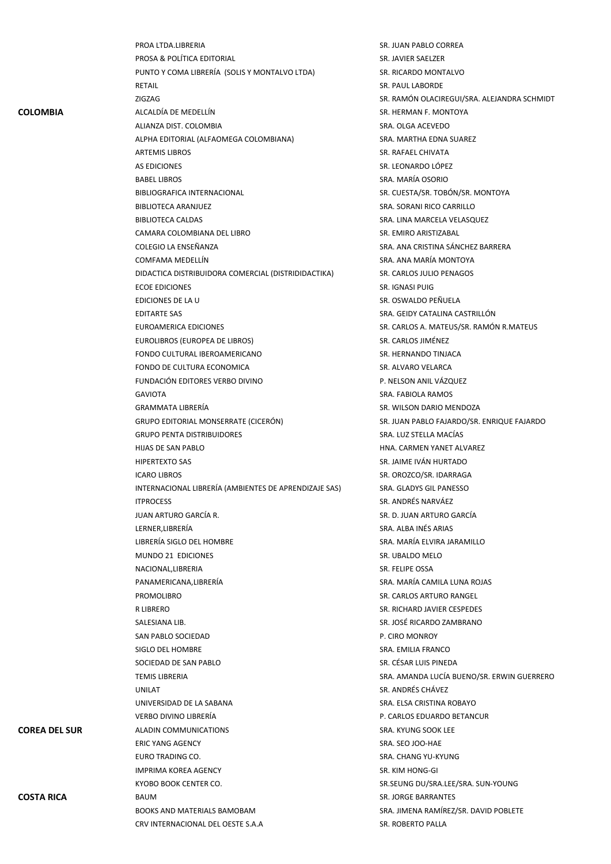|                      | PROA LTDA.LIBRERIA                                    | SR. JUAN PABLO CORREA                       |
|----------------------|-------------------------------------------------------|---------------------------------------------|
|                      | PROSA & POLÍTICA EDITORIAL                            | SR. JAVIER SAELZER                          |
|                      | PUNTO Y COMA LIBRERÍA (SOLIS Y MONTALVO LTDA)         | SR. RICARDO MONTALVO                        |
|                      | RETAIL                                                | <b>SR. PAUL LABORDE</b>                     |
|                      | ZIGZAG                                                | SR. RAMÓN OLACIREGUI/SRA. ALEJANDRA SCHMIDT |
| <b>COLOMBIA</b>      | ALCALDÍA DE MEDELLÍN                                  | SR. HERMAN F. MONTOYA                       |
|                      | ALIANZA DIST. COLOMBIA                                | SRA. OLGA ACEVEDO                           |
|                      | ALPHA EDITORIAL (ALFAOMEGA COLOMBIANA)                | SRA. MARTHA EDNA SUAREZ                     |
|                      | <b>ARTEMIS LIBROS</b>                                 | SR. RAFAEL CHIVATA                          |
|                      | AS EDICIONES                                          | SR. LEONARDO LÓPEZ                          |
|                      |                                                       |                                             |
|                      | BABEL LIBROS                                          | SRA. MARÍA OSORIO                           |
|                      | <b>BIBLIOGRAFICA INTERNACIONAL</b>                    | SR. CUESTA/SR. TOBÓN/SR. MONTOYA            |
|                      | <b>BIBLIOTECA ARANJUEZ</b>                            | SRA. SORANI RICO CARRILLO                   |
|                      | <b>BIBLIOTECA CALDAS</b>                              | SRA. LINA MARCELA VELASQUEZ                 |
|                      | CAMARA COLOMBIANA DEL LIBRO                           | SR. EMIRO ARISTIZABAL                       |
|                      | COLEGIO LA ENSEÑANZA                                  | SRA. ANA CRISTINA SÁNCHEZ BARRERA           |
|                      | COMFAMA MEDELLÍN                                      | SRA. ANA MARÍA MONTOYA                      |
|                      | DIDACTICA DISTRIBUIDORA COMERCIAL (DISTRIDIDACTIKA)   | SR. CARLOS JULIO PENAGOS                    |
|                      | <b>ECOE EDICIONES</b>                                 | SR. IGNASI PUIG                             |
|                      | EDICIONES DE LA U                                     | SR. OSWALDO PEÑUELA                         |
|                      | <b>EDITARTE SAS</b>                                   | SRA. GEIDY CATALINA CASTRILLÓN              |
|                      | EUROAMERICA EDICIONES                                 | SR. CARLOS A. MATEUS/SR. RAMÓN R.MATEUS     |
|                      | EUROLIBROS (EUROPEA DE LIBROS)                        | SR. CARLOS JIMÉNEZ                          |
|                      | FONDO CULTURAL IBEROAMERICANO                         | SR. HERNANDO TINJACA                        |
|                      | FONDO DE CULTURA ECONOMICA                            | SR. ALVARO VELARCA                          |
|                      | FUNDACIÓN EDITORES VERBO DIVINO                       | P. NELSON ANIL VÁZQUEZ                      |
|                      | <b>GAVIOTA</b>                                        | SRA. FABIOLA RAMOS                          |
|                      | <b>GRAMMATA LIBRERÍA</b>                              | SR. WILSON DARIO MENDOZA                    |
|                      | GRUPO EDITORIAL MONSERRATE (CICERÓN)                  | SR. JUAN PABLO FAJARDO/SR. ENRIQUE FAJARDO  |
|                      | <b>GRUPO PENTA DISTRIBUIDORES</b>                     | SRA. LUZ STELLA MACÍAS                      |
|                      | HIJAS DE SAN PABLO                                    | HNA. CARMEN YANET ALVAREZ                   |
|                      | <b>HIPERTEXTO SAS</b>                                 | SR. JAIME IVÁN HURTADO                      |
|                      |                                                       |                                             |
|                      | <b>ICARO LIBROS</b>                                   | SR. OROZCO/SR. IDARRAGA                     |
|                      | INTERNACIONAL LIBRERÍA (AMBIENTES DE APRENDIZAJE SAS) | SRA. GLADYS GIL PANESSO                     |
|                      | <b>ITPROCESS</b>                                      | SR. ANDRÉS NARVÁEZ                          |
|                      | JUAN ARTURO GARCÍA R.                                 | SR. D. JUAN ARTURO GARCÍA                   |
|                      | LERNER.LIBRERÍA                                       | SRA. ALBA INÉS ARIAS                        |
|                      | LIBRERÍA SIGLO DEL HOMBRE                             | SRA. MARÍA ELVIRA JARAMILLO                 |
|                      | MUNDO 21 EDICIONES                                    | SR. UBALDO MELO                             |
|                      | NACIONAL, LIBRERIA                                    | SR. FELIPE OSSA                             |
|                      | PANAMERICANA, LIBRERIA                                | SRA. MARÍA CAMILA LUNA ROJAS                |
|                      | PROMOLIBRO                                            | SR. CARLOS ARTURO RANGEL                    |
|                      | R LIBRERO                                             | SR. RICHARD JAVIER CESPEDES                 |
|                      | SALESIANA LIB.                                        | SR. JOSÉ RICARDO ZAMBRANO                   |
|                      | SAN PABLO SOCIEDAD                                    | P. CIRO MONROY                              |
|                      | SIGLO DEL HOMBRE                                      | SRA. EMILIA FRANCO                          |
|                      | SOCIEDAD DE SAN PABLO                                 | SR. CÉSAR LUIS PINEDA                       |
|                      | <b>TEMIS LIBRERIA</b>                                 | SRA. AMANDA LUCÍA BUENO/SR. ERWIN GUERRERO  |
|                      | UNILAT                                                | SR. ANDRÉS CHÁVEZ                           |
|                      | UNIVERSIDAD DE LA SABANA                              | SRA. ELSA CRISTINA ROBAYO                   |
|                      | VERBO DIVINO LIBRERÍA                                 | P. CARLOS EDUARDO BETANCUR                  |
| <b>COREA DEL SUR</b> | ALADIN COMMUNICATIONS                                 | SRA. KYUNG SOOK LEE                         |
|                      | <b>ERIC YANG AGENCY</b>                               | SRA. SEO JOO-HAE                            |
|                      |                                                       |                                             |
|                      | EURO TRADING CO.                                      | SRA. CHANG YU-KYUNG                         |
|                      | IMPRIMA KOREA AGENCY                                  | SR. KIM HONG-GI                             |
|                      | KYOBO BOOK CENTER CO.                                 | SR.SEUNG DU/SRA.LEE/SRA. SUN-YOUNG          |
| <b>COSTA RICA</b>    | BAUM                                                  | SR. JORGE BARRANTES                         |
|                      | <b>BOOKS AND MATERIALS BAMOBAM</b>                    | SRA. JIMENA RAMÍREZ/SR. DAVID POBLETE       |
|                      | CRV INTERNACIONAL DEL OESTE S.A.A                     | SR. ROBERTO PALLA                           |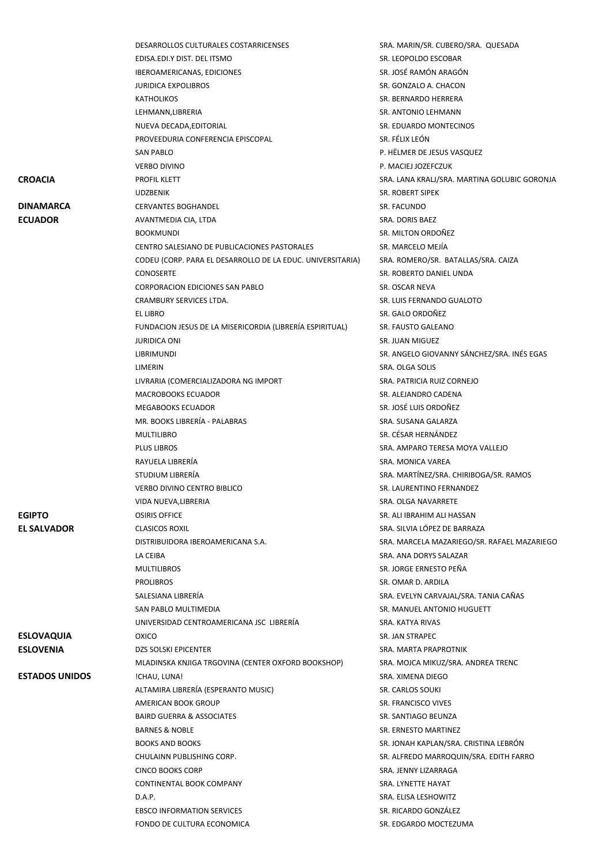|                       | DESARROLLOS CULTURALES COSTARRICENSES                      | SRA. MARIN/SR. CUBERO/SRA. QUESADA                                 |
|-----------------------|------------------------------------------------------------|--------------------------------------------------------------------|
|                       | EDISA.EDI.Y DIST. DEL ITSMO                                | SR. LEOPOLDO ESCOBAR                                               |
|                       | IBEROAMERICANAS, EDICIONES                                 | SR. JOSÉ RAMÓN ARAGÓN                                              |
|                       | <b>JURIDICA EXPOLIBROS</b>                                 | SR. GONZALO A. CHACON                                              |
|                       | <b>KATHOLIKOS</b>                                          | SR. BERNARDO HERRERA                                               |
|                       | LEHMANN, LIBRERIA                                          | <b>SR. ANTONIO LEHMANN</b>                                         |
|                       | NUEVA DECADA, EDITORIAL                                    | SR. EDUARDO MONTECINOS                                             |
|                       | PROVEEDURIA CONFERENCIA EPISCOPAL                          | SR. FÉLIX LEÓN                                                     |
|                       | <b>SAN PABLO</b>                                           | P. HËLMER DE JESUS VASQUEZ                                         |
|                       | <b>VERBO DIVINO</b>                                        | P. MACIEJ JOZEFCZUK                                                |
| <b>CROACIA</b>        | <b>PROFIL KLETT</b>                                        | SRA. LANA KRALJ/SRA. MARTINA GOLUBIC GORONJA                       |
|                       | <b>UDZBENIK</b>                                            | SR. ROBERT SIPEK                                                   |
| <b>DINAMARCA</b>      | <b>CERVANTES BOGHANDEL</b>                                 | SR. FACUNDO                                                        |
| <b>ECUADOR</b>        | AVANTMEDIA CIA, LTDA                                       | SRA. DORIS BAEZ                                                    |
|                       | <b>BOOKMUNDI</b>                                           | SR. MILTON ORDOÑEZ                                                 |
|                       | CENTRO SALESIANO DE PUBLICACIONES PASTORALES               | SR. MARCELO MEJÍA                                                  |
|                       | CODEU (CORP. PARA EL DESARROLLO DE LA EDUC. UNIVERSITARIA) | SRA. ROMERO/SR. BATALLAS/SRA. CAIZA                                |
|                       | <b>CONOSERTE</b>                                           | SR. ROBERTO DANIEL UNDA                                            |
|                       | <b>CORPORACION EDICIONES SAN PABLO</b>                     | SR. OSCAR NEVA                                                     |
|                       | CRAMBURY SERVICES LTDA.                                    | SR. LUIS FERNANDO GUALOTO                                          |
|                       | <b>EL LIBRO</b>                                            | SR. GALO ORDOÑEZ                                                   |
|                       | FUNDACION JESUS DE LA MISERICORDIA (LIBRERÍA ESPIRITUAL)   | SR. FAUSTO GALEANO                                                 |
|                       | <b>JURIDICA ONI</b>                                        | SR. JUAN MIGUEZ                                                    |
|                       | LIBRIMUNDI                                                 | SR. ANGELO GIOVANNY SÁNCHEZ/SRA. INÉS EGAS                         |
|                       | LIMERIN                                                    | SRA. OLGA SOLIS                                                    |
|                       | LIVRARIA (COMERCIALIZADORA NG IMPORT                       | SRA. PATRICIA RUIZ CORNEJO                                         |
|                       | <b>MACROBOOKS ECUADOR</b>                                  | SR. ALEJANDRO CADENA                                               |
|                       | <b>MEGABOOKS ECUADOR</b>                                   | SR. JOSÉ LUIS ORDOÑEZ                                              |
|                       | MR. BOOKS LIBRERÍA - PALABRAS                              | SRA. SUSANA GALARZA                                                |
|                       |                                                            | SR. CÉSAR HERNÁNDEZ                                                |
|                       | <b>MULTILIBRO</b>                                          |                                                                    |
|                       | <b>PLUS LIBROS</b><br>RAYUELA LIBRERÍA                     | SRA. AMPARO TERESA MOYA VALLEJO                                    |
|                       |                                                            | SRA. MONICA VAREA                                                  |
|                       | STUDIUM LIBRERÍA                                           | SRA. MARTÍNEZ/SRA. CHIRIBOGA/SR. RAMOS<br>SR. LAURENTINO FERNANDEZ |
|                       | <b>VERBO DIVINO CENTRO BIBLICO</b>                         | SRA. OLGA NAVARRETE                                                |
|                       | VIDA NUEVA, LIBRERIA                                       |                                                                    |
| <b>EGIPTO</b>         | <b>OSIRIS OFFICE</b>                                       | SR. ALI IBRAHIM ALI HASSAN<br>SRA. SILVIA LÓPEZ DE BARRAZA         |
| <b>EL SALVADOR</b>    | <b>CLASICOS ROXIL</b>                                      | SRA. MARCELA MAZARIEGO/SR. RAFAEL MAZARIEGO                        |
|                       | DISTRIBUIDORA IBEROAMERICANA S.A.                          | SRA. ANA DORYS SALAZAR                                             |
|                       | LA CEIBA<br><b>MULTILIBROS</b>                             | SR. JORGE ERNESTO PEÑA                                             |
|                       | <b>PROLIBROS</b>                                           | SR. OMAR D. ARDILA                                                 |
|                       | SALESIANA LIBRERÍA                                         | SRA. EVELYN CARVAJAL/SRA. TANIA CAÑAS                              |
|                       | SAN PABLO MULTIMEDIA                                       | SR. MANUEL ANTONIO HUGUETT                                         |
|                       | UNIVERSIDAD CENTROAMERICANA JSC LIBRERÍA                   | SRA. KATYA RIVAS                                                   |
| <b>ESLOVAQUIA</b>     | <b>OXICO</b>                                               | SR. JAN STRAPEC                                                    |
| <b>ESLOVENIA</b>      | <b>DZS SOLSKI EPICENTER</b>                                | SRA. MARTA PRAPROTNIK                                              |
|                       | MLADINSKA KNJIGA TRGOVINA (CENTER OXFORD BOOKSHOP)         | SRA. MOJCA MIKUZ/SRA. ANDREA TRENC                                 |
| <b>ESTADOS UNIDOS</b> | !CHAU, LUNA!                                               | SRA. XIMENA DIEGO                                                  |
|                       | ALTAMIRA LIBRERÍA (ESPERANTO MUSIC)                        | SR. CARLOS SOUKI                                                   |
|                       | AMERICAN BOOK GROUP                                        | SR. FRANCISCO VIVES                                                |
|                       | <b>BAIRD GUERRA &amp; ASSOCIATES</b>                       | SR. SANTIAGO BEUNZA                                                |
|                       | <b>BARNES &amp; NOBLE</b>                                  | SR. ERNESTO MARTINEZ                                               |
|                       | <b>BOOKS AND BOOKS</b>                                     | SR. JONAH KAPLAN/SRA. CRISTINA LEBRÓN                              |
|                       |                                                            |                                                                    |
|                       | CHULAINN PUBLISHING CORP.                                  | SR. ALFREDO MARROQUIN/SRA. EDITH FARRO                             |
|                       | <b>CINCO BOOKS CORP</b>                                    | SRA. JENNY LIZARRAGA                                               |
|                       | CONTINENTAL BOOK COMPANY                                   | SRA. LYNETTE HAYAT                                                 |
|                       | D.A.P.                                                     | SRA. ELISA LESHOWITZ                                               |
|                       | <b>EBSCO INFORMATION SERVICES</b>                          | SR. RICARDO GONZÁLEZ                                               |
|                       | FONDO DE CULTURA ECONOMICA                                 | SR. EDGARDO MOCTEZUMA                                              |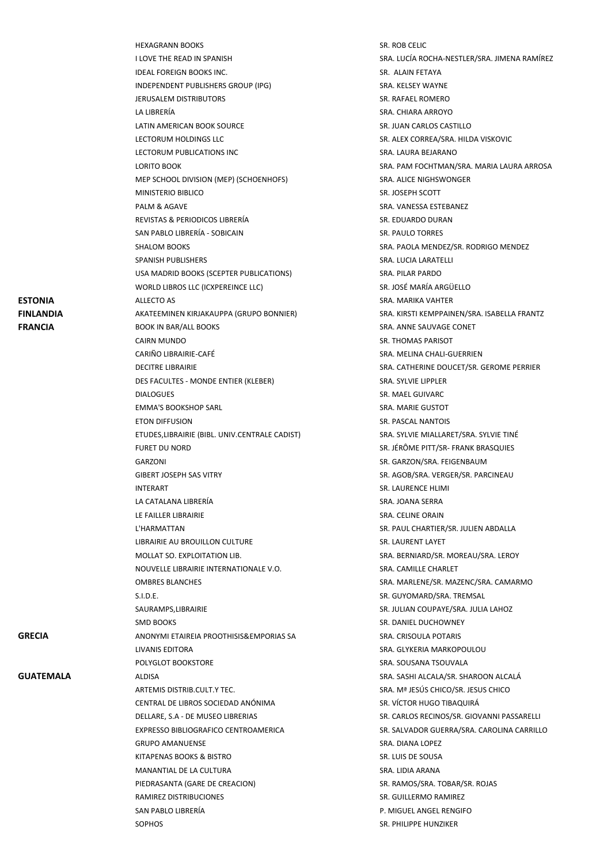|                  | I LOVE THE READ IN SPANISH                     | SRA. LUCÍA ROCHA-NI       |
|------------------|------------------------------------------------|---------------------------|
|                  | IDEAL FOREIGN BOOKS INC.                       | SR. ALAIN FETAYA          |
|                  | INDEPENDENT PUBLISHERS GROUP (IPG)             | SRA. KELSEY WAYNE         |
|                  | JERUSALEM DISTRIBUTORS                         | SR. RAFAEL ROMERO         |
|                  | LA LIBRERÍA                                    | SRA. CHIARA ARROYO        |
|                  | LATIN AMERICAN BOOK SOURCE                     | SR. JUAN CARLOS CAS       |
|                  | LECTORUM HOLDINGS LLC                          | SR. ALEX CORREA/SRA       |
|                  | LECTORUM PUBLICATIONS INC                      | SRA. LAURA BEJARAN        |
|                  | LORITO BOOK                                    | SRA. PAM FOCHTMAN         |
|                  | MEP SCHOOL DIVISION (MEP) (SCHOENHOFS)         | SRA. ALICE NIGHSWO        |
|                  | MINISTERIO BIBLICO                             | SR. JOSEPH SCOTT          |
|                  | PALM & AGAVE                                   | SRA. VANESSA ESTEBA       |
|                  | REVISTAS & PERIODICOS LIBRERÍA                 | SR. EDUARDO DURAN         |
|                  | SAN PABLO LIBRERÍA - SOBICAIN                  | SR. PAULO TORRES          |
|                  | <b>SHALOM BOOKS</b>                            | SRA. PAOLA MENDEZ         |
|                  | <b>SPANISH PUBLISHERS</b>                      | SRA. LUCIA LARATELLI      |
|                  | USA MADRID BOOKS (SCEPTER PUBLICATIONS)        | SRA. PILAR PARDO          |
|                  | WORLD LIBROS LLC (ICXPEREINCE LLC)             | SR. JOSÉ MARÍA ARGÜ       |
| <b>ESTONIA</b>   | <b>ALLECTO AS</b>                              | <b>SRA. MARIKA VAHTER</b> |
| <b>FINLANDIA</b> | AKATEEMINEN KIRJAKAUPPA (GRUPO BONNIER)        | SRA. KIRSTI KEMPPAIN      |
| <b>FRANCIA</b>   | <b>BOOK IN BAR/ALL BOOKS</b>                   | SRA. ANNE SAUVAGE         |
|                  | CAIRN MUNDO                                    | <b>SR. THOMAS PARISOT</b> |
|                  | CARIÑO LIBRAIRIE-CAFÉ                          | SRA. MELINA CHALI-G       |
|                  | <b>DECITRE LIBRAIRIE</b>                       | SRA. CATHERINE DOU        |
|                  | DES FACULTES - MONDE ENTIER (KLEBER)           | SRA. SYLVIE LIPPLER       |
|                  | <b>DIALOGUES</b>                               | SR. MAEL GUIVARC          |
|                  | <b>EMMA'S BOOKSHOP SARL</b>                    | SRA. MARIE GUSTOT         |
|                  | <b>ETON DIFFUSION</b>                          | SR. PASCAL NANTOIS        |
|                  | ETUDES, LIBRAIRIE (BIBL. UNIV.CENTRALE CADIST) | SRA. SYLVIE MIALLARI      |
|                  | <b>FURET DU NORD</b>                           | SR. JÉRÔME PITT/SR-       |
|                  | GARZONI                                        | SR. GARZON/SRA. FEI       |
|                  | <b>GIBERT JOSEPH SAS VITRY</b>                 | SR. AGOB/SRA. VERGE       |
|                  | <b>INTERART</b>                                | SR. LAURENCE HLIMI        |
|                  | LA CATALANA LIBRERÍA                           | SRA. JOANA SERRA          |
|                  | LE FAILLER LIBRAIRIE                           | SRA. CELINE ORAIN         |
|                  | L'HARMATTAN                                    | SR. PAUL CHARTIER/S       |
|                  | LIBRAIRIE AU BROUILLON CULTURE                 | SR. LAURENT LAYET         |
|                  | MOLLAT SO. EXPLOITATION LIB.                   | SRA. BERNIARD/SR. M       |
|                  | NOUVELLE LIBRAIRIE INTERNATIONALE V.O.         | SRA. CAMILLE CHARLE       |
|                  | <b>OMBRES BLANCHES</b>                         | SRA. MARLENE/SR. M        |
|                  | S.I.D.E.                                       | SR. GUYOMARD/SRA.         |
|                  | SAURAMPS, LIBRAIRIE                            | SR. JULIAN COUPAYE/       |
|                  | SMD BOOKS                                      | <b>SR. DANIEL DUCHOWI</b> |
| <b>GRECIA</b>    | ANONYMI ETAIREIA PROOTHISIS&EMPORIAS SA        | SRA. CRISOULA POTAI       |
|                  | LIVANIS EDITORA                                | SRA. GLYKERIA MARK        |
|                  | POLYGLOT BOOKSTORE                             | SRA. SOUSANA TSOU\        |
| <b>GUATEMALA</b> | <b>ALDISA</b>                                  | SRA. SASHI ALCALA/SI      |
|                  | ARTEMIS DISTRIB.CULT.Y TEC.                    | SRA. Mª JESÚS CHICO       |
|                  | CENTRAL DE LIBROS SOCIEDAD ANÓNIMA             | SR. VÍCTOR HUGO TIB       |
|                  | DELLARE, S.A - DE MUSEO LIBRERIAS              | SR. CARLOS RECINOS/       |
|                  | EXPRESSO BIBLIOGRAFICO CENTROAMERICA           | <b>SR. SALVADOR GUERR</b> |
|                  | <b>GRUPO AMANUENSE</b>                         | SRA. DIANA LOPEZ          |
|                  | KITAPENAS BOOKS & BISTRO                       | SR. LUIS DE SOUSA         |
|                  | MANANTIAL DE LA CULTURA                        | SRA. LIDIA ARANA          |
|                  | PIEDRASANTA (GARE DE CREACION)                 | SR. RAMOS/SRA. TOB.       |
|                  | RAMIREZ DISTRIBUCIONES                         | SR. GUILLERMO RAMI        |
|                  | SAN PABLO LIBRERÍA                             | P. MIGUEL ANGEL REN       |
|                  |                                                |                           |

HEXAGRANN BOOKS SR. ROB CELIC UCÍA ROCHA-NESTLER/SRA. JIMENA RAMÍREZ LAIN FETAYA **IELSEY WAYNE IFAEL ROMERO HIARA ARROYO** AN CARLOS CASTILLO EX CORREA/SRA. HILDA VISKOVIC AURA BEJARANO AM FOCHTMAN/SRA. MARIA LAURA ARROSA **NEICE NIGHSWONGER** SEPH SCOTT ANESSA ESTEBANEZ **UARDO DURAN JULO TORRES** .<br>AOLA MENDEZ/SR. RODRIGO MENDEZ<sup>,</sup> LUCIA LARATELLI **ILAR PARDO** )SÉ MARÍA ARGÜELLO **FIRSTI KEMPPAINEN/SRA. ISABELLA FRANTZ ANNE SAUVAGE CONET IOMAS PARISOT** MELINA CHALI-GUERRIEN CATHERINE DOUCET/SR. GEROME PERRIER SYLVIE LIPPLER **AEL GUIVARC MARIE GUSTOT ASCAL NANTOIS** SYLVIE MIALLARET/SRA. SYLVIE TINÉ RÔME PITT/SR- FRANK BRASQUIES ARZON/SRA. FEIGENBAUM GOB/SRA. VERGER/SR. PARCINEAU **IURENCE HLIMI IOANA SERRA** LELINE ORAIN L'HARMATIER/SR. JULIEN ABDALLA LIBRENT LAYET **BERNIARD/SR. MOREAU/SRA. LEROY NOUVELLE CHARLET** MARLENE/SR. MAZENC/SRA. CAMARMO UYOMARD/SRA. TREMSAL **ILIAN COUPAYE/SRA. JULIA LAHOZ SMIEL DUCHOWNEY CRISOULA POTARIS** GLYKERIA MARKOPOULOU SOUSANA TSOUVALA **GASHI ALCALA/SR. SHAROON ALCALÁ Mª JESÚS CHICO/SR. JESUS CHICO** CTOR HUGO TIBAQUIRÁ ARLOS RECINOS/SR. GIOVANNI PASSARELLI ILVADOR GUERRA/SRA. CAROLINA CARRILLO DIANA LOPEZ **JIS DE SOUSA** LIDIA ARANA AMOS/SRA. TOBAR/SR. ROJAS UILLERMO RAMIREZ GUEL ANGEL RENGIFO SOPHOS SOPHOS SALES AND THE SERIES OF SALES AND STRUCK SOPHOS SALES AND STRUCK SALES AND STRUCK STRUCK SALES AND STRUCK STRUCK STRUCK STRUCK STRUCK STRUCK STRUCK STRUCK STRUCK STRUCK STRUCK STRUCK STRUCK STRUCK STRUCK STRU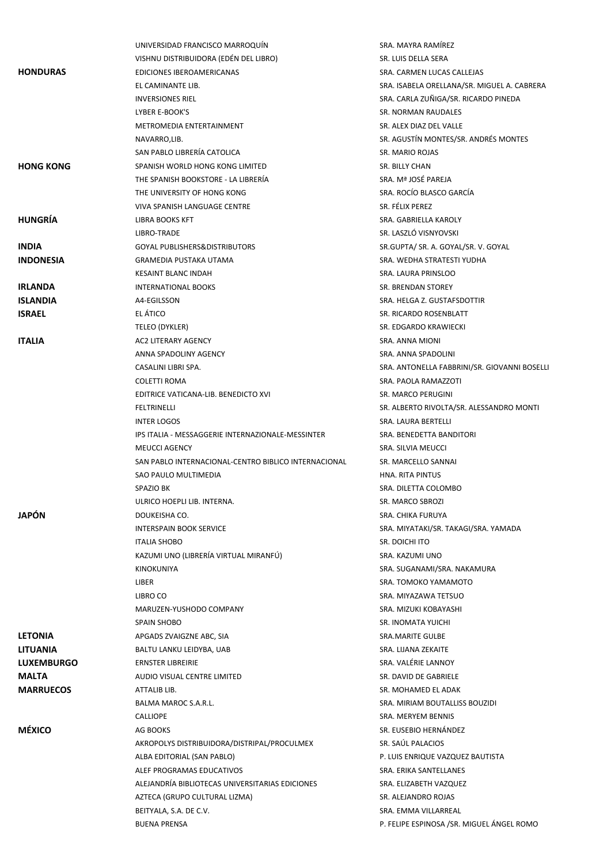|                   | UNIVERSIDAD FRANCISCO MARROQUÍN                      | SRA. MAYRA RAMÍREZ                           |
|-------------------|------------------------------------------------------|----------------------------------------------|
|                   | VISHNU DISTRIBUIDORA (EDÊN DEL LIBRO)                | SR. LUIS DELLA SERA                          |
| <b>HONDURAS</b>   | EDICIONES IBEROAMERICANAS                            | SRA. CARMEN LUCAS CALLEJAS                   |
|                   | EL CAMINANTE LIB.                                    | SRA. ISABELA ORELLANA/SR. MIGUEL A. CABRERA  |
|                   | <b>INVERSIONES RIEL</b>                              | SRA. CARLA ZUÑIGA/SR. RICARDO PINEDA         |
|                   | <b>LYBER E-BOOK'S</b>                                | SR. NORMAN RAUDALES                          |
|                   | METROMEDIA ENTERTAINMENT                             | SR. ALEX DIAZ DEL VALLE                      |
|                   | NAVARRO,LIB.                                         | SR. AGUSTÍN MONTES/SR. ANDRÉS MONTES         |
|                   | SAN PABLO LIBRERÍA CATOLICA                          | <b>SR. MARIO ROJAS</b>                       |
| <b>HONG KONG</b>  | SPANISH WORLD HONG KONG LIMITED                      | SR. BILLY CHAN                               |
|                   | THE SPANISH BOOKSTORE - LA LIBRERÍA                  | SRA. Mª JOSÉ PAREJA                          |
|                   | THE UNIVERSITY OF HONG KONG                          | SRA. ROCÍO BLASCO GARCÍA                     |
|                   | VIVA SPANISH LANGUAGE CENTRE                         | SR. FÉLIX PEREZ                              |
| <b>HUNGRIA</b>    | LIBRA BOOKS KFT                                      | SRA. GABRIELLA KAROLY                        |
|                   |                                                      | SR. LASZLÓ VISNYOVSKI                        |
|                   | LIBRO-TRADE                                          |                                              |
| <b>INDIA</b>      | <b>GOYAL PUBLISHERS&amp;DISTRIBUTORS</b>             | SR.GUPTA/ SR. A. GOYAL/SR. V. GOYAL          |
| <b>INDONESIA</b>  | <b>GRAMEDIA PUSTAKA UTAMA</b>                        | SRA. WEDHA STRATESTI YUDHA                   |
|                   | KESAINT BLANC INDAH                                  | SRA. LAURA PRINSLOO                          |
| <b>IRLANDA</b>    | <b>INTERNATIONAL BOOKS</b>                           | SR. BRENDAN STOREY                           |
| <b>ISLANDIA</b>   | A4-EGILSSON                                          | SRA. HELGA Z. GUSTAFSDOTTIR                  |
| <b>ISRAEL</b>     | EL ÁTICO                                             | SR. RICARDO ROSENBLATT                       |
|                   | TELEO (DYKLER)                                       | SR. EDGARDO KRAWIECKI                        |
| <b>ITALIA</b>     | AC2 LITERARY AGENCY                                  | SRA. ANNA MIONI                              |
|                   | ANNA SPADOLINY AGENCY                                | SRA. ANNA SPADOLINI                          |
|                   | CASALINI LIBRI SPA.                                  | SRA. ANTONELLA FABBRINI/SR. GIOVANNI BOSELLI |
|                   | <b>COLETTI ROMA</b>                                  | SRA. PAOLA RAMAZZOTI                         |
|                   | EDITRICE VATICANA-LIB. BENEDICTO XVI                 | SR. MARCO PERUGINI                           |
|                   | FELTRINELLI                                          | SR. ALBERTO RIVOLTA/SR. ALESSANDRO MONTI     |
|                   | <b>INTER LOGOS</b>                                   | SRA. LAURA BERTELLI                          |
|                   | IPS ITALIA - MESSAGGERIE INTERNAZIONALE-MESSINTER    | SRA. BENEDETTA BANDITORI                     |
|                   | <b>MEUCCI AGENCY</b>                                 | SRA. SILVIA MEUCCI                           |
|                   | SAN PABLO INTERNACIONAL-CENTRO BIBLICO INTERNACIONAL | SR. MARCELLO SANNAI                          |
|                   | SAO PAULO MULTIMEDIA                                 | HNA. RITA PINTUS                             |
|                   | SPAZIO BK                                            | SRA. DILETTA COLOMBO                         |
|                   | ULRICO HOEPLI LIB. INTERNA.                          | SR. MARCO SBROZI                             |
| <b>JAPÓN</b>      | DOUKEISHA CO.                                        | <b>SRA. CHIKA FURUYA</b>                     |
|                   | <b>INTERSPAIN BOOK SERVICE</b>                       | SRA. MIYATAKI/SR. TAKAGI/SRA. YAMADA         |
|                   | <b>ITALIA SHOBO</b>                                  | SR. DOICHI ITO                               |
|                   | KAZUMI UNO (LIBRERÍA VIRTUAL MIRANFÚ)                | SRA. KAZUMI UNO                              |
|                   | <b>KINOKUNIYA</b>                                    | SRA. SUGANAMI/SRA. NAKAMURA                  |
|                   | LIBER                                                | SRA. TOMOKO YAMAMOTO                         |
|                   | LIBRO CO                                             | SRA. MIYAZAWA TETSUO                         |
|                   | MARUZEN-YUSHODO COMPANY                              | SRA. MIZUKI KOBAYASHI                        |
|                   | SPAIN SHOBO                                          | <b>SR. INOMATA YUICHI</b>                    |
| <b>LETONIA</b>    | APGADS ZVAIGZNE ABC, SIA                             | <b>SRA.MARITE GULBE</b>                      |
| <b>LITUANIA</b>   | BALTU LANKU LEIDYBA, UAB                             | SRA. LIJANA ZEKAITE                          |
| <b>LUXEMBURGO</b> | <b>ERNSTER LIBREIRIE</b>                             | SRA. VALÉRIE LANNOY                          |
| <b>MALTA</b>      | AUDIO VISUAL CENTRE LIMITED                          | SR. DAVID DE GABRIELE                        |
| <b>MARRUECOS</b>  | ATTALIB LIB.                                         | SR. MOHAMED EL ADAK                          |
|                   | BALMA MAROC S.A.R.L.                                 | SRA. MIRIAM BOUTALLISS BOUZIDI               |
|                   | <b>CALLIOPE</b>                                      | SRA. MERYEM BENNIS                           |
| <b>MÉXICO</b>     | AG BOOKS                                             | SR. EUSEBIO HERNÁNDEZ                        |
|                   | AKROPOLYS DISTRIBUIDORA/DISTRIPAL/PROCULMEX          | SR. SAÚL PALACIOS                            |
|                   | ALBA EDITORIAL (SAN PABLO)                           | P. LUIS ENRIQUE VAZQUEZ BAUTISTA             |
|                   | ALEF PROGRAMAS EDUCATIVOS                            | SRA. ERIKA SANTELLANES                       |
|                   |                                                      |                                              |
|                   | ALEJANDRÍA BIBLIOTECAS UNIVERSITARIAS EDICIONES      | SRA. ELIZABETH VAZQUEZ                       |
|                   | AZTECA (GRUPO CULTURAL LIZMA)                        | SR. ALEJANDRO ROJAS                          |
|                   | BEITYALA, S.A. DE C.V.                               | SRA. EMMA VILLARREAL                         |
|                   | <b>BUENA PRENSA</b>                                  | P. FELIPE ESPINOSA /SR. MIGUEL ÁNGEL ROMO    |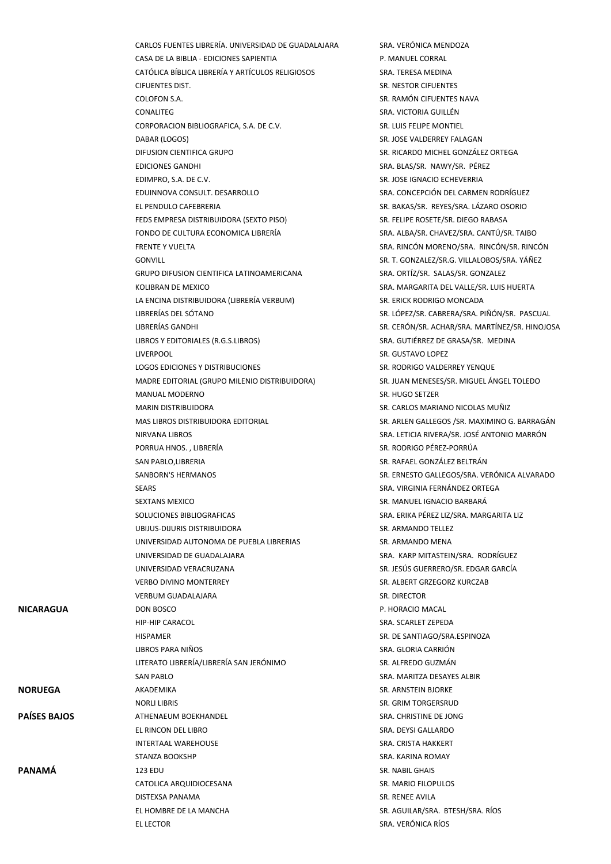|                     | CARLOS FUENTES LIBRERÍA. UNIVERSIDAD DE GUADALAJARA | SRA. VERÓNICA MENDOZA                          |
|---------------------|-----------------------------------------------------|------------------------------------------------|
|                     | CASA DE LA BIBLIA - EDICIONES SAPIENTIA             | P. MANUEL CORRAL                               |
|                     | CATÓLICA BÍBLICA LIBRERÍA Y ARTÍCULOS RELIGIOSOS    | SRA. TERESA MEDINA                             |
|                     | CIFUENTES DIST.                                     | SR. NESTOR CIFUENTES                           |
|                     | COLOFON S.A.                                        | SR. RAMÓN CIFUENTES NAVA                       |
|                     | CONALITEG                                           | SRA. VICTORIA GUILLÉN                          |
|                     | CORPORACION BIBLIOGRAFICA, S.A. DE C.V.             | SR. LUIS FELIPE MONTIEL                        |
|                     | DABAR (LOGOS)                                       | SR. JOSE VALDERREY FALAGAN                     |
|                     | DIFUSION CIENTIFICA GRUPO                           | SR. RICARDO MICHEL GONZÁLEZ ORTEGA             |
|                     | <b>EDICIONES GANDHI</b>                             | SRA. BLAS/SR. NAWY/SR. PÉREZ                   |
|                     | EDIMPRO, S.A. DE C.V.                               | SR. JOSE IGNACIO ECHEVERRIA                    |
|                     |                                                     | SRA. CONCEPCIÓN DEL CARMEN RODRÍGUEZ           |
|                     | EDUINNOVA CONSULT. DESARROLLO                       | SR. BAKAS/SR. REYES/SRA. LÁZARO OSORIO         |
|                     | EL PENDULO CAFEBRERIA                               |                                                |
|                     | FEDS EMPRESA DISTRIBUIDORA (SEXTO PISO)             | SR. FELIPE ROSETE/SR. DIEGO RABASA             |
|                     | FONDO DE CULTURA ECONOMICA LIBRERÍA                 | SRA. ALBA/SR. CHAVEZ/SRA. CANTÚ/SR. TAIBO      |
|                     | <b>FRENTE Y VUELTA</b>                              | SRA. RINCÓN MORENO/SRA. RINCÓN/SR. RINCÓN      |
|                     | <b>GONVILL</b>                                      | SR. T. GONZALEZ/SR.G. VILLALOBOS/SRA. YÁÑEZ    |
|                     | <b>GRUPO DIFUSION CIENTIFICA LATINOAMERICANA</b>    | SRA. ORTÍZ/SR. SALAS/SR. GONZALEZ              |
|                     | KOLIBRAN DE MEXICO                                  | SRA. MARGARITA DEL VALLE/SR. LUIS HUERTA       |
|                     | LA ENCINA DISTRIBUIDORA (LIBRERÍA VERBUM)           | SR. ERICK RODRIGO MONCADA                      |
|                     | LIBRERÍAS DEL SÓTANO                                | SR. LÓPEZ/SR. CABRERA/SRA. PIÑÓN/SR. PASCUAL   |
|                     | LIBRERÍAS GANDHI                                    | SR. CERÓN/SR. ACHAR/SRA. MARTÍNEZ/SR. HINOJOSA |
|                     | LIBROS Y EDITORIALES (R.G.S.LIBROS)                 | SRA. GUTIÉRREZ DE GRASA/SR. MEDINA             |
|                     | <b>LIVERPOOL</b>                                    | SR. GUSTAVO LOPEZ                              |
|                     | LOGOS EDICIONES Y DISTRIBUCIONES                    | SR. RODRIGO VALDERREY YENQUE                   |
|                     | MADRE EDITORIAL (GRUPO MILENIO DISTRIBUIDORA)       | SR. JUAN MENESES/SR. MIGUEL ÁNGEL TOLEDO       |
|                     | MANUAL MODERNO                                      | SR. HUGO SETZER                                |
|                     | <b>MARIN DISTRIBUIDORA</b>                          | SR. CARLOS MARIANO NICOLAS MUÑIZ               |
|                     | MAS LIBROS DISTRIBUIDORA EDITORIAL                  | SR. ARLEN GALLEGOS / SR. MAXIMINO G. BARRAGÁN  |
|                     | NIRVANA LIBROS                                      | SRA. LETICIA RIVERA/SR. JOSÉ ANTONIO MARRÓN    |
|                     | PORRUA HNOS., LIBRERÍA                              | SR. RODRIGO PÉREZ-PORRÚA                       |
|                     | SAN PABLO, LIBRERIA                                 | SR. RAFAEL GONZÁLEZ BELTRÁN                    |
|                     | SANBORN'S HERMANOS                                  | SR. ERNESTO GALLEGOS/SRA. VERÓNICA ALVARADO    |
|                     | SEARS                                               | SRA. VIRGINIA FERNÁNDEZ ORTEGA                 |
|                     | <b>SEXTANS MEXICO</b>                               | SR. MANUEL IGNACIO BARBARÁ                     |
|                     | SOLUCIONES BIBLIOGRAFICAS                           | SRA. ERIKA PÉREZ LIZ/SRA. MARGARITA LIZ        |
|                     | UBIJUS-DIJURIS DISTRIBUIDORA                        | SR. ARMANDO TELLEZ                             |
|                     | UNIVERSIDAD AUTONOMA DE PUEBLA LIBRERIAS            | SR. ARMANDO MENA                               |
|                     | UNIVERSIDAD DE GUADALAJARA                          | SRA. KARP MITASTEIN/SRA. RODRÍGUEZ             |
|                     | UNIVERSIDAD VERACRUZANA                             | SR. JESÚS GUERRERO/SR. EDGAR GARCÍA            |
|                     | <b>VERBO DIVINO MONTERREY</b>                       | SR. ALBERT GRZEGORZ KURCZAB                    |
|                     |                                                     |                                                |
|                     | <b>VERBUM GUADALAJARA</b>                           | SR. DIRECTOR                                   |
| NICARAGUA           | DON BOSCO                                           | P. HORACIO MACAL                               |
|                     | <b>HIP-HIP CARACOL</b>                              | SRA. SCARLET ZEPEDA                            |
|                     | <b>HISPAMER</b>                                     | SR. DE SANTIAGO/SRA.ESPINOZA                   |
|                     | LIBROS PARA NIÑOS                                   | SRA. GLORIA CARRION                            |
|                     | LITERATO LIBRERÍA/LIBRERÍA SAN JERÓNIMO             | SR. ALFREDO GUZMÁN                             |
|                     | <b>SAN PABLO</b>                                    | SRA. MARITZA DESAYES ALBIR                     |
| <b>NORUEGA</b>      | AKADEMIKA                                           | SR. ARNSTEIN BJORKE                            |
|                     | <b>NORLI LIBRIS</b>                                 | SR. GRIM TORGERSRUD                            |
| <b>PAÍSES BAJOS</b> | ATHENAEUM BOEKHANDEL                                | SRA. CHRISTINE DE JONG                         |
|                     | EL RINCON DEL LIBRO                                 | SRA. DEYSI GALLARDO                            |
|                     | INTERTAAL WAREHOUSE                                 | SRA. CRISTA HAKKERT                            |
|                     | STANZA BOOKSHP                                      | SRA. KARINA ROMAY                              |
| <b>PANAMÁ</b>       | 123 EDU                                             | SR. NABIL GHAIS                                |
|                     | CATOLICA ARQUIDIOCESANA                             | SR. MARIO FILOPULOS                            |
|                     | DISTEXSA PANAMA                                     | SR. RENEE AVILA                                |
|                     | EL HOMBRE DE LA MANCHA                              | SR. AGUILAR/SRA. BTESH/SRA. RÍOS               |
|                     | EL LECTOR                                           | SRA. VERÓNICA RÍOS                             |
|                     |                                                     |                                                |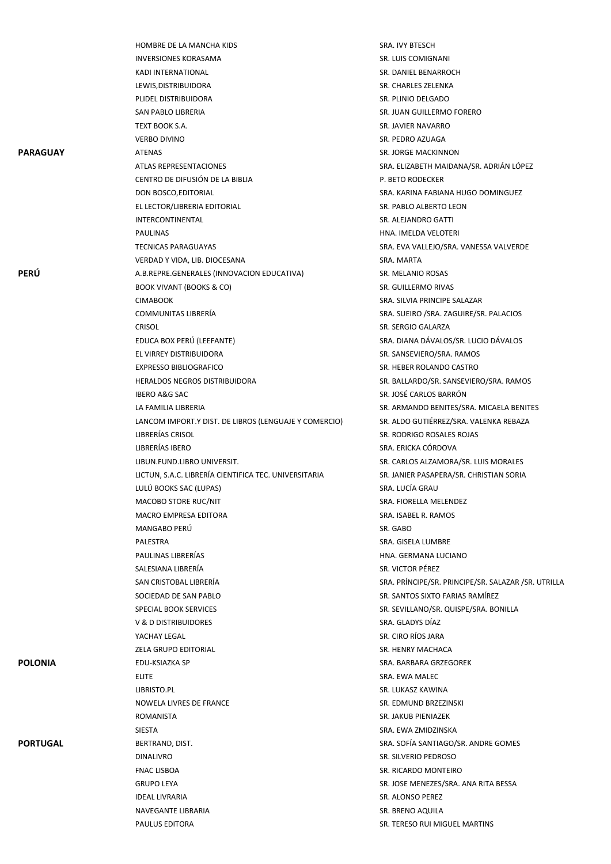|                 | HOMBRE DE LA MANCHA KIDS                              | SRA. IVY BTESCH                                     |
|-----------------|-------------------------------------------------------|-----------------------------------------------------|
|                 | <b>INVERSIONES KORASAMA</b>                           | SR. LUIS COMIGNANI                                  |
|                 | KADI INTERNATIONAL                                    | SR. DANIEL BENARROCH                                |
|                 | LEWIS, DISTRIBUIDORA                                  | SR. CHARLES ZELENKA                                 |
|                 | PLIDEL DISTRIBUIDORA                                  | SR. PLINIO DELGADO                                  |
|                 | SAN PABLO LIBRERIA                                    | SR. JUAN GUILLERMO FORERO                           |
|                 | TEXT BOOK S.A.                                        | SR. JAVIER NAVARRO                                  |
|                 | <b>VERBO DIVINO</b>                                   | SR. PEDRO AZUAGA                                    |
| <b>PARAGUAY</b> |                                                       | SR. JORGE MACKINNON                                 |
|                 | ATENAS                                                |                                                     |
|                 | <b>ATLAS REPRESENTACIONES</b>                         | SRA. ELIZABETH MAIDANA/SR. ADRIÁN LÓPEZ             |
|                 | CENTRO DE DIFUSIÓN DE LA BIBLIA                       | P. BETO RODECKER                                    |
|                 | DON BOSCO, EDITORIAL                                  | SRA. KARINA FABIANA HUGO DOMINGUEZ                  |
|                 | EL LECTOR/LIBRERIA EDITORIAL                          | SR. PABLO ALBERTO LEON                              |
|                 | INTERCONTINENTAL                                      | SR. ALEJANDRO GATTI                                 |
|                 | <b>PAULINAS</b>                                       | HNA. IMELDA VELOTERI                                |
|                 | <b>TECNICAS PARAGUAYAS</b>                            | SRA. EVA VALLEJO/SRA. VANESSA VALVERDE              |
|                 | VERDAD Y VIDA, LIB. DIOCESANA                         | SRA. MARTA                                          |
| <b>PERÚ</b>     | A.B.REPRE.GENERALES (INNOVACION EDUCATIVA)            | SR. MELANIO ROSAS                                   |
|                 | <b>BOOK VIVANT (BOOKS &amp; CO)</b>                   | SR. GUILLERMO RIVAS                                 |
|                 | <b>CIMABOOK</b>                                       | SRA. SILVIA PRINCIPE SALAZAR                        |
|                 | <b>COMMUNITAS LIBRERÍA</b>                            | SRA. SUEIRO / SRA. ZAGUIRE/SR. PALACIOS             |
|                 | CRISOL                                                | SR. SERGIO GALARZA                                  |
|                 | EDUCA BOX PERÚ (LEEFANTE)                             | SRA. DIANA DÁVALOS/SR. LUCIO DÁVALOS                |
|                 | EL VIRREY DISTRIBUIDORA                               | SR. SANSEVIERO/SRA. RAMOS                           |
|                 | <b>EXPRESSO BIBLIOGRAFICO</b>                         | SR. HEBER ROLANDO CASTRO                            |
|                 | <b>HERALDOS NEGROS DISTRIBUIDORA</b>                  | SR. BALLARDO/SR. SANSEVIERO/SRA. RAMOS              |
|                 | <b>IBERO A&amp;G SAC</b>                              | SR. JOSÉ CARLOS BARRÓN                              |
|                 | LA FAMILIA LIBRERIA                                   | SR. ARMANDO BENITES/SRA. MICAELA BENITES            |
|                 | LANCOM IMPORT.Y DIST. DE LIBROS (LENGUAJE Y COMERCIO) | SR. ALDO GUTIÉRREZ/SRA. VALENKA REBAZA              |
|                 | LIBRERÍAS CRISOL                                      | SR. RODRIGO ROSALES ROJAS                           |
|                 | LIBRERÍAS IBERO                                       | SRA. ERICKA CÓRDOVA                                 |
|                 | LIBUN.FUND.LIBRO UNIVERSIT.                           | SR. CARLOS ALZAMORA/SR. LUIS MORALES                |
|                 | LICTUN, S.A.C. LIBRERÍA CIENTIFICA TEC. UNIVERSITARIA | SR. JANIER PASAPERA/SR. CHRISTIAN SORIA             |
|                 | LULÚ BOOKS SAC (LUPAS)                                | SRA. LUCÍA GRAU                                     |
|                 |                                                       | SRA. FIORELLA MELENDEZ                              |
|                 | MACOBO STORE RUC/NIT                                  | SRA. ISABEL R. RAMOS                                |
|                 | MACRO EMPRESA EDITORA                                 |                                                     |
|                 | MANGABO PERU                                          | SR. GABO                                            |
|                 | PALESTRA                                              | SRA. GISELA LUMBRE                                  |
|                 | PAULINAS LIBRERÍAS                                    | HNA. GERMANA LUCIANO                                |
|                 | SALESIANA LIBRERÍA                                    | SR. VICTOR PÉREZ                                    |
|                 | SAN CRISTOBAL LIBRERÍA                                | SRA. PRÍNCIPE/SR. PRINCIPE/SR. SALAZAR /SR. UTRILLA |
|                 | SOCIEDAD DE SAN PABLO                                 | SR. SANTOS SIXTO FARIAS RAMÍREZ                     |
|                 | SPECIAL BOOK SERVICES                                 | SR. SEVILLANO/SR. QUISPE/SRA. BONILLA               |
|                 | V & D DISTRIBUIDORES                                  | SRA. GLADYS DÍAZ                                    |
|                 | YACHAY LEGAL                                          | SR. CIRO RÍOS JARA                                  |
|                 | ZELA GRUPO EDITORIAL                                  | SR. HENRY MACHACA                                   |
| <b>POLONIA</b>  | EDU-KSIAZKA SP                                        | SRA. BARBARA GRZEGOREK                              |
|                 | <b>ELITE</b>                                          | SRA. EWA MALEC                                      |
|                 | LIBRISTO.PL                                           | SR. LUKASZ KAWINA                                   |
|                 | NOWELA LIVRES DE FRANCE                               | SR. EDMUND BRZEZINSKI                               |
|                 | ROMANISTA                                             | SR. JAKUB PIENIAZEK                                 |
|                 | <b>SIESTA</b>                                         | SRA. EWA ZMIDZINSKA                                 |
| <b>PORTUGAL</b> | BERTRAND, DIST.                                       | SRA. SOFÍA SANTIAGO/SR. ANDRE GOMES                 |
|                 | <b>DINALIVRO</b>                                      | SR. SILVERIO PEDROSO                                |
|                 | <b>FNAC LISBOA</b>                                    | SR. RICARDO MONTEIRO                                |
|                 | <b>GRUPO LEYA</b>                                     | SR. JOSE MENEZES/SRA. ANA RITA BESSA                |
|                 | <b>IDEAL LIVRARIA</b>                                 | SR. ALONSO PEREZ                                    |
|                 | NAVEGANTE LIBRARIA                                    | SR. BRENO AQUILA                                    |
|                 | PAULUS EDITORA                                        | SR. TERESO RUI MIGUEL MARTINS                       |
|                 |                                                       |                                                     |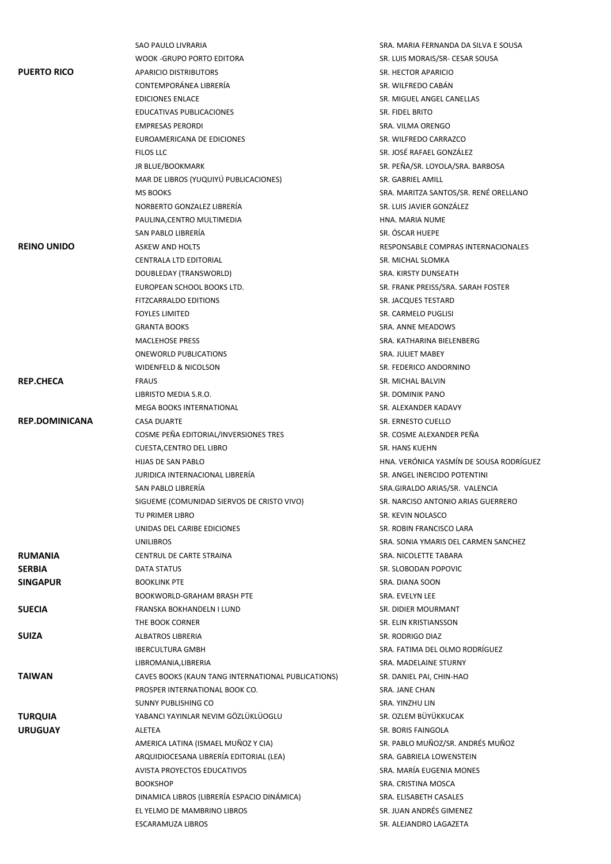|                       | SAO PAULO LIVRARIA                                   | SRA. MARIA FERNANDA DA SILVA E SOUSA                      |
|-----------------------|------------------------------------------------------|-----------------------------------------------------------|
|                       | WOOK -GRUPO PORTO EDITORA                            | SR. LUIS MORAIS/SR- CESAR SOUSA                           |
| <b>PUERTO RICO</b>    | <b>APARICIO DISTRIBUTORS</b>                         | SR. HECTOR APARICIO                                       |
|                       | CONTEMPORÁNEA LIBRERÍA                               | SR. WILFREDO CABÁN                                        |
|                       | <b>EDICIONES ENLACE</b>                              | SR. MIGUEL ANGEL CANELLAS                                 |
|                       | EDUCATIVAS PUBLICACIONES                             | SR. FIDEL BRITO                                           |
|                       | <b>EMPRESAS PERORDI</b>                              | SRA. VILMA ORENGO                                         |
|                       | EUROAMERICANA DE EDICIONES                           | SR. WILFREDO CARRAZCO                                     |
|                       | FILOS LLC                                            | SR. JOSÉ RAFAEL GONZÁLEZ                                  |
|                       | JR BLUE/BOOKMARK                                     | SR. PEÑA/SR. LOYOLA/SRA. BARBOSA                          |
|                       | MAR DE LIBROS (YUQUIYÚ PUBLICACIONES)                | SR. GABRIEL AMILL                                         |
|                       | <b>MS BOOKS</b>                                      | SRA. MARITZA SANTOS/SR. RENÉ ORELLANO                     |
|                       | NORBERTO GONZALEZ LIBRERÍA                           | SR. LUIS JAVIER GONZÁLEZ                                  |
|                       | PAULINA, CENTRO MULTIMEDIA                           | HNA. MARIA NUME                                           |
|                       | SAN PABLO LIBRERÍA                                   | SR. ÓSCAR HUEPE                                           |
| <b>REINO UNIDO</b>    | ASKEW AND HOLTS                                      | RESPONSABLE COMPRAS INTERNACIONALES                       |
|                       | <b>CENTRALA LTD EDITORIAL</b>                        | SR. MICHAL SLOMKA                                         |
|                       | DOUBLEDAY (TRANSWORLD)                               | SRA. KIRSTY DUNSEATH                                      |
|                       | EUROPEAN SCHOOL BOOKS LTD.                           | SR. FRANK PREISS/SRA. SARAH FOSTER                        |
|                       | <b>FITZCARRALDO EDITIONS</b>                         | SR. JACQUES TESTARD                                       |
|                       | <b>FOYLES LIMITED</b>                                | SR. CARMELO PUGLISI                                       |
|                       | <b>GRANTA BOOKS</b>                                  | SRA. ANNE MEADOWS                                         |
|                       | <b>MACLEHOSE PRESS</b>                               | SRA. KATHARINA BIELENBERG                                 |
|                       | ONEWORLD PUBLICATIONS                                | SRA. JULIET MABEY                                         |
|                       | WIDENFELD & NICOLSON                                 | SR. FEDERICO ANDORNINO                                    |
| <b>REP.CHECA</b>      | <b>FRAUS</b>                                         | SR. MICHAL BALVIN                                         |
|                       | LIBRISTO MEDIA S.R.O.                                | SR. DOMINIK PANO                                          |
|                       | MEGA BOOKS INTERNATIONAL                             | SR. ALEXANDER KADAVY                                      |
| <b>REP.DOMINICANA</b> | <b>CASA DUARTE</b>                                   | SR. ERNESTO CUELLO                                        |
|                       | COSME PEÑA EDITORIAL/INVERSIONES TRES                | SR. COSME ALEXANDER PEÑA                                  |
|                       |                                                      |                                                           |
|                       | <b>CUESTA, CENTRO DEL LIBRO</b>                      | SR. HANS KUEHN<br>HNA. VERÓNICA YASMÍN DE SOUSA RODRÍGUEZ |
|                       | HIJAS DE SAN PABLO                                   |                                                           |
|                       | JURIDICA INTERNACIONAL LIBRERÍA                      | SR. ANGEL INERCIDO POTENTINI                              |
|                       | SAN PABLO LIBRERÍA                                   | SRA.GIRALDO ARIAS/SR. VALENCIA                            |
|                       | SIGUEME (COMUNIDAD SIERVOS DE CRISTO VIVO)           | SR. NARCISO ANTONIO ARIAS GUERRERO                        |
|                       | TU PRIMER LIBRO                                      | SR. KEVIN NOLASCO                                         |
|                       | UNIDAS DEL CARIBE EDICIONES                          | SR. ROBIN FRANCISCO LARA                                  |
|                       | <b>UNILIBROS</b>                                     | SRA. SONIA YMARIS DEL CARMEN SANCHEZ                      |
| <b>RUMANIA</b>        | CENTRUL DE CARTE STRAINA                             | SRA. NICOLETTE TABARA                                     |
| <b>SERBIA</b>         | DATA STATUS<br><b>BOOKLINK PTE</b>                   | SR. SLOBODAN POPOVIC<br>SRA. DIANA SOON                   |
| <b>SINGAPUR</b>       |                                                      |                                                           |
|                       | BOOKWORLD-GRAHAM BRASH PTE                           | SRA. EVELYN LEE                                           |
| <b>SUECIA</b>         | FRANSKA BOKHANDELN I LUND<br>THE BOOK CORNER         | SR. DIDIER MOURMANT<br>SR. ELIN KRISTIANSSON              |
| <b>SUIZA</b>          | ALBATROS LIBRERIA                                    | SR. RODRIGO DIAZ                                          |
|                       |                                                      | SRA. FATIMA DEL OLMO RODRÍGUEZ                            |
|                       | <b>IBERCULTURA GMBH</b>                              |                                                           |
|                       | LIBROMANIA, LIBRERIA                                 | SRA. MADELAINE STURNY                                     |
| <b>TAIWAN</b>         | CAVES BOOKS (KAUN TANG INTERNATIONAL PUBLICATIONS)   | SR. DANIEL PAI, CHIN-HAO                                  |
|                       | PROSPER INTERNATIONAL BOOK CO.                       | SRA. JANE CHAN                                            |
|                       | SUNNY PUBLISHING CO                                  | SRA. YINZHU LIN<br>SR. OZLEM BÜYÜKKUCAK                   |
| <b>TURQUIA</b>        | YABANCI YAYINLAR NEVIM GÖZLÜKLÜOGLU<br><b>ALETEA</b> | SR. BORIS FAINGOLA                                        |
| <b>URUGUAY</b>        |                                                      |                                                           |
|                       | AMERICA LATINA (ISMAEL MUÑOZ Y CIA)                  | SR. PABLO MUÑOZ/SR. ANDRÉS MUÑOZ                          |
|                       | ARQUIDIOCESANA LIBRERÍA EDITORIAL (LEA)              | SRA. GABRIELA LOWENSTEIN                                  |
|                       | <b>AVISTA PROYECTOS EDUCATIVOS</b>                   | SRA. MARÍA EUGENIA MONES                                  |
|                       | <b>BOOKSHOP</b>                                      | SRA. CRISTINA MOSCA                                       |
|                       | DINAMICA LIBROS (LIBRERÍA ESPACIO DINÁMICA)          | SRA. ELISABETH CASALES                                    |
|                       | EL YELMO DE MAMBRINO LIBROS                          | SR. JUAN ANDRÉS GIMENEZ                                   |
|                       | ESCARAMUZA LIBROS                                    | SR. ALEJANDRO LAGAZETA                                    |